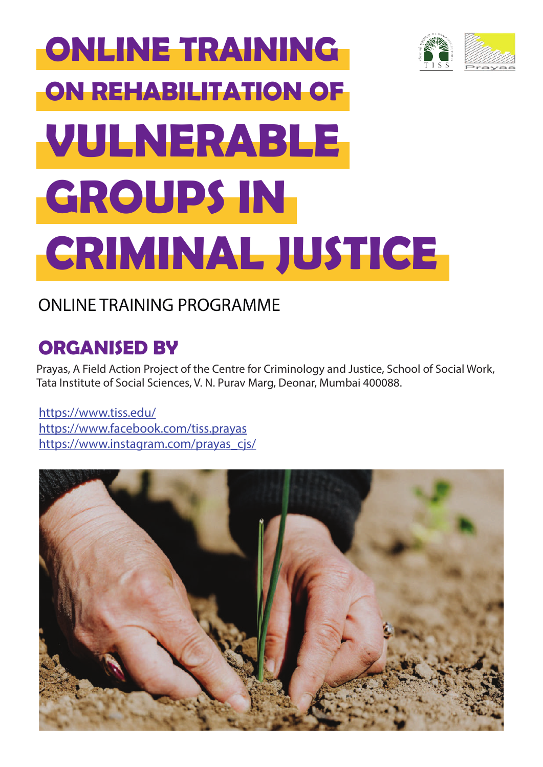# **ONLINE TRAINING ON REHABILITATION OF VULNERABLE GROUPS IN CRIMINAL JUSTICE**

### ONLINE TRAINING PROGRAMME

### **ORGANISED BY**

Prayas, A Field Action Project of the Centre for Criminology and Justice, School of Social Work, Tata Institute of Social Sciences, V. N. Purav Marg, Deonar, Mumbai 400088.

<https://www.tiss.edu/> <https://www.facebook.com/tiss.prayas> [https://www.instagram.com/prayas\\_cjs/](https://www.instagram.com/prayas_cjs/)

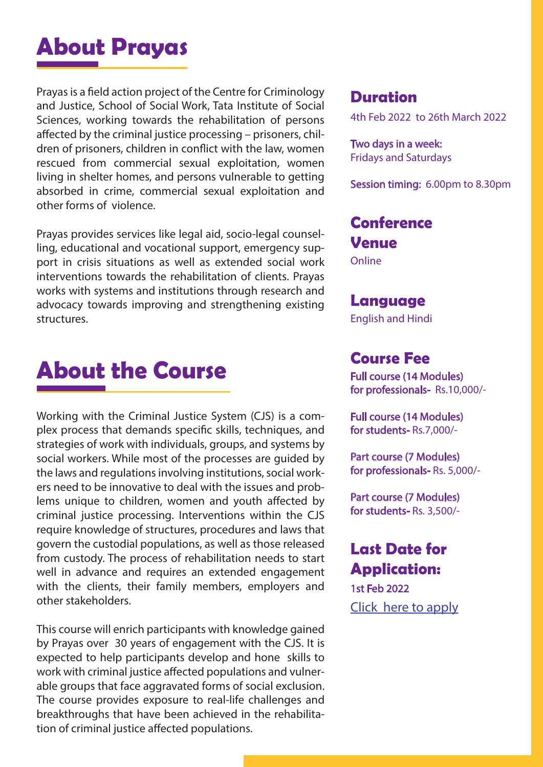## **About Prayas**

Prayas is a field action project of the Centre for Criminology and Justice, School of Social Work, Tata Institute of Social Sciences, working towards the rehabilitation of persons affected by the criminal justice processing  $-$  prisoners, children of prisoners, children in conflict with the law, women rescued from commercial sexual exploitation, women living in shelter homes, and persons vulnerable to getting absorbed in crime, commercial sexual exploitation and other forms of violence.

Prayas provides services like legal aid, socio-legal counselling, educational and vocational support, emergency support in crisis situations as well as extended social work interventions towards the rehabilitation of clients. Prayas works with systems and institutions through research and advocacy towards improving and strengthening existing structures.

### **About the Course**

Working with the Criminal Justice System (CJS) is a complex process that demands specific skills, techniques, and strategies of work with individuals, groups, and systems by social workers. While most of the processes are guided by the laws and regulations involving institutions, social workers need to be innovative to deal with the issues and problems unique to children, women and youth affected by criminal justice processing. Interventions within the CJS require knowledge of structures, procedures and laws that govern the custodial populations, as well as those released from custody. The process of rehabilitation needs to start well in advance and requires an extended engagement with the clients, their family members, employers and other stakeholders.

This course will enrich participants with knowledge gained by Prayas over 30 years of engagement with the CJS. It is expected to help participants develop and hone skills to work with criminal justice affected populations and vulnerable groups that face aggravated forms of social exclusion. The course provides exposure to real-life challenges and breakthroughs that have been achieved in the rehabilitation of criminal justice affected populations.

#### **Duration**

4th Feb 2022 to 26th March 2022

Two days in a week: Fridays and Saturdays

Session timing: 6.00pm to 8.30pm

### **Conference Venue**

**Online** 

#### **Language**

English and Hindi

#### **Course Fee**

Full course (14 Modules) for professionals- Rs.10,000/-

Full course (14 Modules) for students- Rs.7,000/-

Part course (7 Modules) for professionals- Rs. 5,000/-

Part course (7 Modules) for students- Rs. 3,500/-

### **Last Date for Application:** 1st Feb 2022 [Click here to apply](https://support.tiss.edu/conf_regi_form/)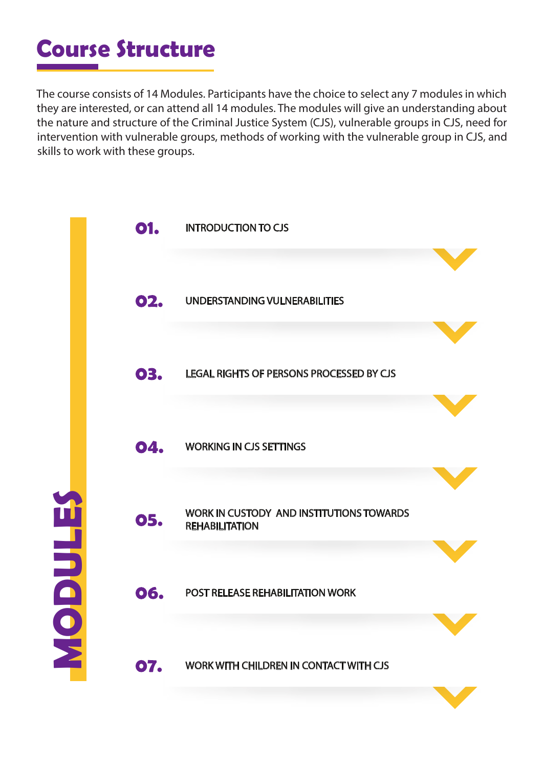# **Course Structure**

The course consists of 14 Modules. Participants have the choice to select any 7 modules in which they are interested, or can attend all 14 modules. The modules will give an understanding about the nature and structure of the Criminal Justice System (CJS), vulnerable groups in CJS, need for intervention with vulnerable groups, methods of working with the vulnerable group in CJS, and skills to work with these groups.

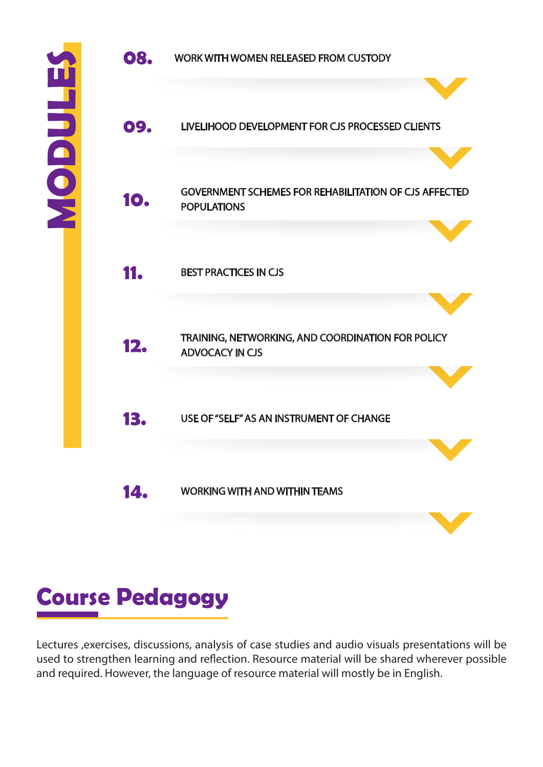

Lectures ,exercises, discussions, analysis of case studies and audio visuals presentations will be used to strengthen learning and reflection. Resource material will be shared wherever possible and required. However, the language of resource material will mostly be in English.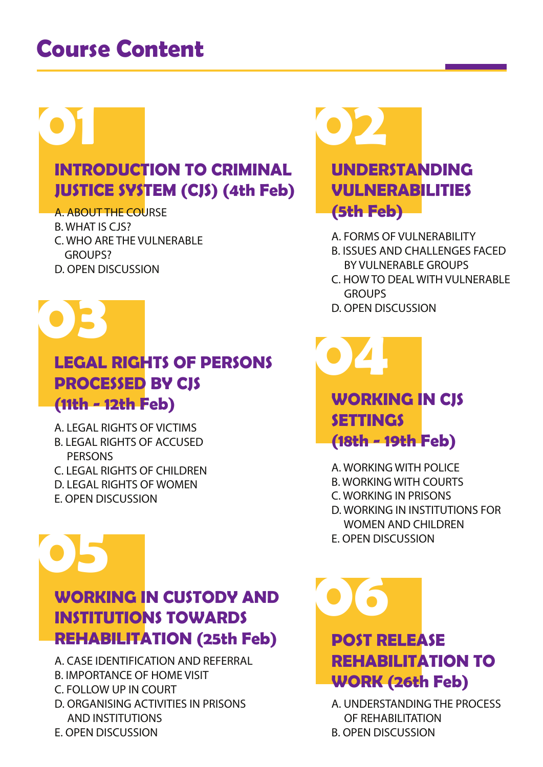### **Course Content**

# **01**

### **INTRODUCTION TO CRIMINAL JUSTICE SYSTEM (CJS) (4th Feb)**

#### A. ABOUT THE COURSE

- B. WHAT IS CJS?
- C. WHO ARE THE VULNERABLE GROUPS?
- D. OPEN DISCUSSION



### **LEGAL RIGHTS OF PERSONS PROCESSED BY CJS (11th - 12th Feb)**

- A. LEGAL RIGHTS OF VICTIMS B. LEGAL RIGHTS OF ACCUSED **PERSONS**
- C. LEGAL RIGHTS OF CHILDREN
- D. LEGAL RIGHTS OF WOMEN
- E. OPEN DISCUSSION

# **05**

### **WORKING IN CUSTODY AND INSTITUTIONS TOWARDS REHABILITATION (25th Feb)**

A. CASE IDENTIFICATION AND REFERRAL B. IMPORTANCE OF HOME VISIT C. FOLLOW UP IN COURT D. ORGANISING ACTIVITIES IN PRISONS AND INSTITUTIONS E. OPEN DISCUSSION



- A. FORMS OF VULNERABILITY
- B. ISSUES AND CHALLENGES FACED BY VULNERABLE GROUPS
- C. HOW TO DEAL WITH VULNERABLE **GROUPS**
- D. OPEN DISCUSSION

# **04**

### **WORKING IN CJS SETTINGS (18th - 19th Feb)**

- A. WORKING WITH POLICE
- B. WORKING WITH COURTS
- C. WORKING IN PRISONS
- D. WORKING IN INSTITUTIONS FOR WOMEN AND CHILDREN
- E. OPEN DISCUSSION

# **06 POST RELEASE REHABILITATION TO WORK (26th Feb)**

A. UNDERSTANDING THE PROCESS OF REHABILITATION B. OPEN DISCUSSION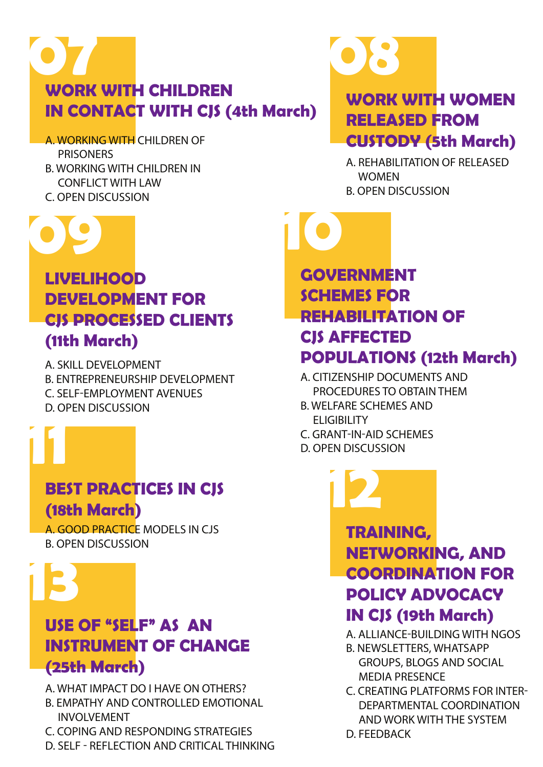# **07 WORK WITH CHILDREN IN CONTACT WITH CJS (4th March)**

A. WORKING WITH CHILDREN OF PRISONERS B. WORKING WITH CHILDREN IN CONFLICT WITH LAW C. OPEN DISCUSSION

# **09**

### **LIVELIHOOD DEVELOPMENT FOR CJS PROCESSED CLIENTS (11th March)**

A. SKILL DEVELOPMENT B. ENTREPRENEURSHIP DEVELOPMENT C. SELF-EMPLOYMENT AVENUES D. OPEN DISCUSSION

**11**

### **BEST PRACTICES IN CJS (18th March)**

A. GOOD PRACTICE MODELS IN CJS B. OPEN DISCUSSION

**13**

### **USE OF "SELF" AS AN INSTRUMENT OF CHANGE (25th March)**

- A. WHAT IMPACT DO I HAVE ON OTHERS? B. EMPATHY AND CONTROLLED EMOTIONAL
- INVOLVEMENT C. COPING AND RESPONDING STRATEGIES
- D. SELF REFLECTION AND CRITICAL THINKING



A. REHABILITATION OF RELEASED **WOMEN** B. OPEN DISCUSSION

### **10 GOVERNMENT SCHEMES FOR REHABILITATION OF CJS AFFECTED POPULATIONS (12th March)**

- A. CITIZENSHIP DOCUMENTS AND PROCEDURES TO OBTAIN THEM
- B. WELFARE SCHEMES AND **ELIGIBILITY**
- C. GRANT-IN-AID SCHEMES
- D. OPEN DISCUSSION

**12 TRAINING, NETWORKING, AND COORDINATION FOR POLICY ADVOCACY IN CJS (19th March)**

- A. ALLIANCE-BUILDING WITH NGOS
- B. NEWSLETTERS, WHATSAPP GROUPS, BLOGS AND SOCIAL MEDIA PRESENCE
- C. CREATING PLATFORMS FOR INTER- DEPARTMENTAL COORDINATION AND WORK WITH THE SYSTEM
- D. FEEDBACK